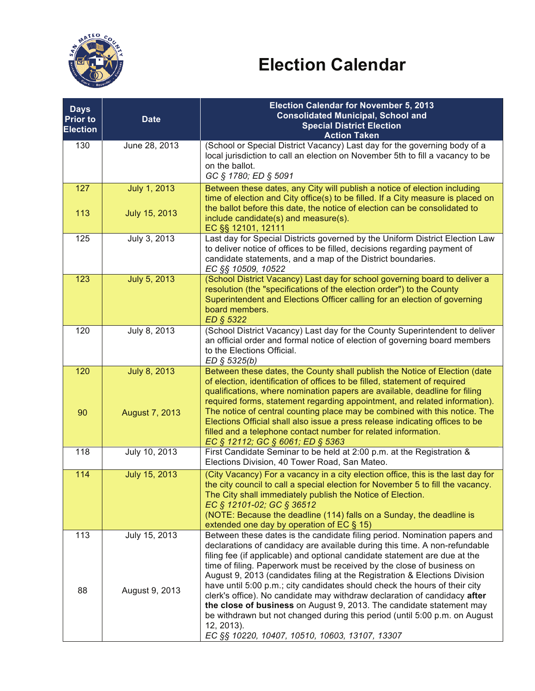

## **Election Calendar**

| <b>Days</b><br><b>Prior to</b><br><b>Election</b> | <b>Date</b>                    | <b>Election Calendar for November 5, 2013</b><br><b>Consolidated Municipal, School and</b><br><b>Special District Election</b><br><b>Action Taken</b>                                                                                                                                                                                                                                                                                                                                                                                                |
|---------------------------------------------------|--------------------------------|------------------------------------------------------------------------------------------------------------------------------------------------------------------------------------------------------------------------------------------------------------------------------------------------------------------------------------------------------------------------------------------------------------------------------------------------------------------------------------------------------------------------------------------------------|
| 130                                               | June 28, 2013                  | (School or Special District Vacancy) Last day for the governing body of a<br>local jurisdiction to call an election on November 5th to fill a vacancy to be<br>on the ballot.<br>GC § 1780; ED § 5091                                                                                                                                                                                                                                                                                                                                                |
| 127                                               | <b>July 1, 2013</b>            | Between these dates, any City will publish a notice of election including<br>time of election and City office(s) to be filled. If a City measure is placed on<br>the ballot before this date, the notice of election can be consolidated to                                                                                                                                                                                                                                                                                                          |
| 113                                               | July 15, 2013                  | include candidate(s) and measure(s).<br>EC §§ 12101, 12111                                                                                                                                                                                                                                                                                                                                                                                                                                                                                           |
| 125                                               | July 3, 2013                   | Last day for Special Districts governed by the Uniform District Election Law<br>to deliver notice of offices to be filled, decisions regarding payment of<br>candidate statements, and a map of the District boundaries.<br>EC §§ 10509, 10522                                                                                                                                                                                                                                                                                                       |
| 123                                               | July 5, 2013                   | (School District Vacancy) Last day for school governing board to deliver a<br>resolution (the "specifications of the election order") to the County<br>Superintendent and Elections Officer calling for an election of governing<br>board members.<br>ED § 5322                                                                                                                                                                                                                                                                                      |
| 120                                               | July 8, 2013                   | (School District Vacancy) Last day for the County Superintendent to deliver<br>an official order and formal notice of election of governing board members<br>to the Elections Official.<br>$ED \S 5325(b)$                                                                                                                                                                                                                                                                                                                                           |
| 120<br>90                                         | July 8, 2013<br>August 7, 2013 | Between these dates, the County shall publish the Notice of Election (date<br>of election, identification of offices to be filled, statement of required<br>qualifications, where nomination papers are available, deadline for filing<br>required forms, statement regarding appointment, and related information).<br>The notice of central counting place may be combined with this notice. The<br>Elections Official shall also issue a press release indicating offices to be<br>filled and a telephone contact number for related information. |
|                                                   |                                | EC § 12112; GC § 6061; ED § 5363                                                                                                                                                                                                                                                                                                                                                                                                                                                                                                                     |
| 118                                               | July 10, 2013                  | First Candidate Seminar to be held at 2:00 p.m. at the Registration &<br>Elections Division, 40 Tower Road, San Mateo.                                                                                                                                                                                                                                                                                                                                                                                                                               |
| 114                                               | July 15, 2013                  | (City Vacancy) For a vacancy in a city election office, this is the last day for<br>the city council to call a special election for November 5 to fill the vacancy.<br>The City shall immediately publish the Notice of Election.<br>EC § 12101-02; GC § 36512<br>(NOTE: Because the deadline (114) falls on a Sunday, the deadline is<br>extended one day by operation of EC § 15)                                                                                                                                                                  |
| 113                                               | July 15, 2013                  | Between these dates is the candidate filing period. Nomination papers and<br>declarations of candidacy are available during this time. A non-refundable<br>filing fee (if applicable) and optional candidate statement are due at the<br>time of filing. Paperwork must be received by the close of business on<br>August 9, 2013 (candidates filing at the Registration & Elections Division                                                                                                                                                        |
| 88                                                | August 9, 2013                 | have until 5:00 p.m.; city candidates should check the hours of their city<br>clerk's office). No candidate may withdraw declaration of candidacy after<br>the close of business on August 9, 2013. The candidate statement may<br>be withdrawn but not changed during this period (until 5:00 p.m. on August<br>12, 2013).<br>EC §§ 10220, 10407, 10510, 10603, 13107, 13307                                                                                                                                                                        |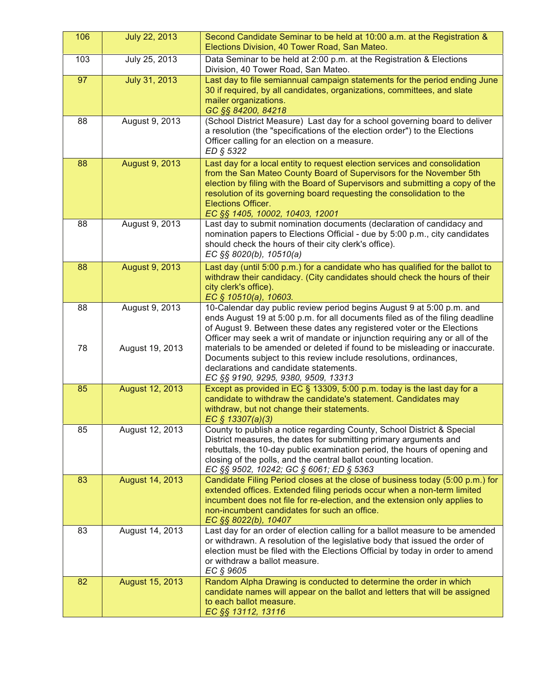| 106      | July 22, 2013                     | Second Candidate Seminar to be held at 10:00 a.m. at the Registration &<br>Elections Division, 40 Tower Road, San Mateo.                                                                                                                                                                                                                                                                                                                                                                                                                              |
|----------|-----------------------------------|-------------------------------------------------------------------------------------------------------------------------------------------------------------------------------------------------------------------------------------------------------------------------------------------------------------------------------------------------------------------------------------------------------------------------------------------------------------------------------------------------------------------------------------------------------|
| 103      | July 25, 2013                     | Data Seminar to be held at 2:00 p.m. at the Registration & Elections<br>Division, 40 Tower Road, San Mateo.                                                                                                                                                                                                                                                                                                                                                                                                                                           |
| 97       | July 31, 2013                     | Last day to file semiannual campaign statements for the period ending June<br>30 if required, by all candidates, organizations, committees, and slate<br>mailer organizations.<br>GC §§ 84200, 84218                                                                                                                                                                                                                                                                                                                                                  |
| 88       | August 9, 2013                    | (School District Measure) Last day for a school governing board to deliver<br>a resolution (the "specifications of the election order") to the Elections<br>Officer calling for an election on a measure.<br>ED § 5322                                                                                                                                                                                                                                                                                                                                |
| 88       | <b>August 9, 2013</b>             | Last day for a local entity to request election services and consolidation<br>from the San Mateo County Board of Supervisors for the November 5th<br>election by filing with the Board of Supervisors and submitting a copy of the<br>resolution of its governing board requesting the consolidation to the<br>Elections Officer.<br>EC §§ 1405, 10002, 10403, 12001                                                                                                                                                                                  |
| 88       | August 9, 2013                    | Last day to submit nomination documents (declaration of candidacy and<br>nomination papers to Elections Official - due by 5:00 p.m., city candidates<br>should check the hours of their city clerk's office).<br>EC §§ 8020(b), 10510(a)                                                                                                                                                                                                                                                                                                              |
| 88       | August 9, 2013                    | Last day (until 5:00 p.m.) for a candidate who has qualified for the ballot to<br>withdraw their candidacy. (City candidates should check the hours of their<br>city clerk's office).<br>EC § 10510(a), 10603.                                                                                                                                                                                                                                                                                                                                        |
| 88<br>78 | August 9, 2013<br>August 19, 2013 | 10-Calendar day public review period begins August 9 at 5:00 p.m. and<br>ends August 19 at 5:00 p.m. for all documents filed as of the filing deadline<br>of August 9. Between these dates any registered voter or the Elections<br>Officer may seek a writ of mandate or injunction requiring any or all of the<br>materials to be amended or deleted if found to be misleading or inaccurate.<br>Documents subject to this review include resolutions, ordinances,<br>declarations and candidate statements.<br>EC §§ 9190, 9295, 9380, 9509, 13313 |
| 85       | August 12, 2013                   | Except as provided in EC § 13309, 5:00 p.m. today is the last day for a<br>candidate to withdraw the candidate's statement. Candidates may<br>withdraw, but not change their statements.<br>EC $$13307(a)(3)$                                                                                                                                                                                                                                                                                                                                         |
| 85       | August 12, 2013                   | County to publish a notice regarding County, School District & Special<br>District measures, the dates for submitting primary arguments and<br>rebuttals, the 10-day public examination period, the hours of opening and<br>closing of the polls, and the central ballot counting location.<br>EC §§ 9502, 10242; GC § 6061; ED § 5363                                                                                                                                                                                                                |
| 83       | August 14, 2013                   | Candidate Filing Period closes at the close of business today (5:00 p.m.) for<br>extended offices. Extended filing periods occur when a non-term limited<br>incumbent does not file for re-election, and the extension only applies to<br>non-incumbent candidates for such an office.<br>EC §§ 8022(b), 10407                                                                                                                                                                                                                                        |
| 83       | August 14, 2013                   | Last day for an order of election calling for a ballot measure to be amended<br>or withdrawn. A resolution of the legislative body that issued the order of<br>election must be filed with the Elections Official by today in order to amend<br>or withdraw a ballot measure.<br>EC § 9605                                                                                                                                                                                                                                                            |
| 82       | August 15, 2013                   | Random Alpha Drawing is conducted to determine the order in which<br>candidate names will appear on the ballot and letters that will be assigned<br>to each ballot measure.<br>EC §§ 13112, 13116                                                                                                                                                                                                                                                                                                                                                     |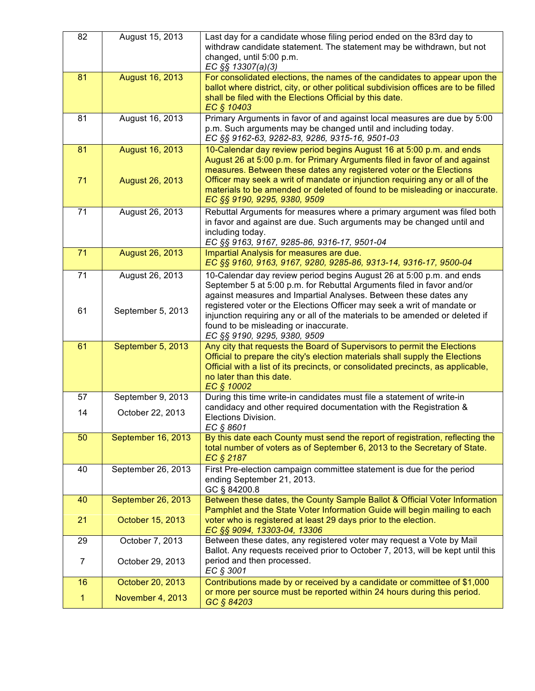| 82             | August 15, 2013    | Last day for a candidate whose filing period ended on the 83rd day to<br>withdraw candidate statement. The statement may be withdrawn, but not<br>changed, until 5:00 p.m.<br>EC §§ 13307(a)(3)                                                                                       |
|----------------|--------------------|---------------------------------------------------------------------------------------------------------------------------------------------------------------------------------------------------------------------------------------------------------------------------------------|
| 81             | August 16, 2013    | For consolidated elections, the names of the candidates to appear upon the<br>ballot where district, city, or other political subdivision offices are to be filled<br>shall be filed with the Elections Official by this date.<br>EC § 10403                                          |
| 81             | August 16, 2013    | Primary Arguments in favor of and against local measures are due by 5:00<br>p.m. Such arguments may be changed until and including today.<br>EC §§ 9162-63, 9282-83, 9286, 9315-16, 9501-03                                                                                           |
| 81             | August 16, 2013    | 10-Calendar day review period begins August 16 at 5:00 p.m. and ends<br>August 26 at 5:00 p.m. for Primary Arguments filed in favor of and against<br>measures. Between these dates any registered voter or the Elections                                                             |
| 71             | August 26, 2013    | Officer may seek a writ of mandate or injunction requiring any or all of the<br>materials to be amended or deleted of found to be misleading or inaccurate.<br>EC §§ 9190, 9295, 9380, 9509                                                                                           |
| 71             | August 26, 2013    | Rebuttal Arguments for measures where a primary argument was filed both<br>in favor and against are due. Such arguments may be changed until and<br>including today.<br>EC §§ 9163, 9167, 9285-86, 9316-17, 9501-04                                                                   |
| 71             | August 26, 2013    | Impartial Analysis for measures are due.<br>EC §§ 9160, 9163, 9167, 9280, 9285-86, 9313-14, 9316-17, 9500-04                                                                                                                                                                          |
| 71             | August 26, 2013    | 10-Calendar day review period begins August 26 at 5:00 p.m. and ends<br>September 5 at 5:00 p.m. for Rebuttal Arguments filed in favor and/or<br>against measures and Impartial Analyses. Between these dates any                                                                     |
| 61             | September 5, 2013  | registered voter or the Elections Officer may seek a writ of mandate or<br>injunction requiring any or all of the materials to be amended or deleted if<br>found to be misleading or inaccurate.<br>EC §§ 9190, 9295, 9380, 9509                                                      |
| 61             | September 5, 2013  | Any city that requests the Board of Supervisors to permit the Elections<br>Official to prepare the city's election materials shall supply the Elections<br>Official with a list of its precincts, or consolidated precincts, as applicable,<br>no later than this date.<br>EC § 10002 |
| 57             | September 9, 2013  | During this time write-in candidates must file a statement of write-in                                                                                                                                                                                                                |
| 14             | October 22, 2013   | candidacy and other required documentation with the Registration &<br>Elections Division.<br>EC § 8601                                                                                                                                                                                |
| 50             | September 16, 2013 | By this date each County must send the report of registration, reflecting the<br>total number of voters as of September 6, 2013 to the Secretary of State.<br>EC § 2187                                                                                                               |
| 40             | September 26, 2013 | First Pre-election campaign committee statement is due for the period<br>ending September 21, 2013.<br>GC § 84200.8                                                                                                                                                                   |
| 40             | September 26, 2013 | Between these dates, the County Sample Ballot & Official Voter Information                                                                                                                                                                                                            |
| 21             | October 15, 2013   | Pamphlet and the State Voter Information Guide will begin mailing to each<br>voter who is registered at least 29 days prior to the election.<br>EC §§ 9094, 13303-04, 13306                                                                                                           |
| 29             | October 7, 2013    | Between these dates, any registered voter may request a Vote by Mail                                                                                                                                                                                                                  |
| $\overline{7}$ | October 29, 2013   | Ballot. Any requests received prior to October 7, 2013, will be kept until this<br>period and then processed.<br>EC § 3001                                                                                                                                                            |
| 16             | October 20, 2013   | Contributions made by or received by a candidate or committee of \$1,000                                                                                                                                                                                                              |
| 1              | November 4, 2013   | or more per source must be reported within 24 hours during this period.<br>GC § 84203                                                                                                                                                                                                 |